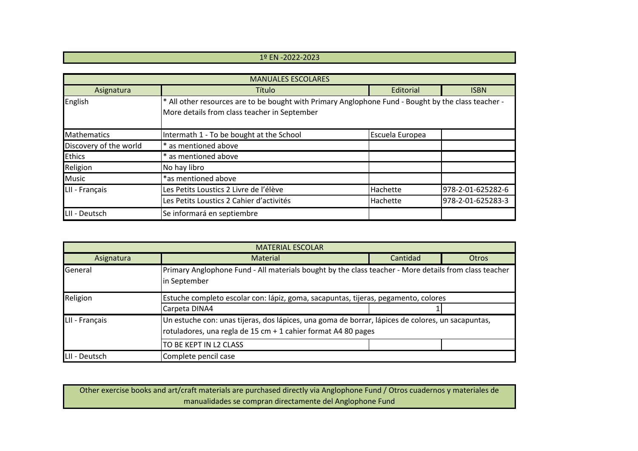## 1º EN -2022-2023

| <b>MANUALES ESCOLARES</b> |                                                                                                                                                     |                 |                   |  |
|---------------------------|-----------------------------------------------------------------------------------------------------------------------------------------------------|-----------------|-------------------|--|
| Asignatura                | Título                                                                                                                                              | Editorial       | <b>ISBN</b>       |  |
| English                   | * All other resources are to be bought with Primary Anglophone Fund - Bought by the class teacher -<br>More details from class teacher in September |                 |                   |  |
| <b>Mathematics</b>        | Intermath 1 - To be bought at the School                                                                                                            | Escuela Europea |                   |  |
| Discovery of the world    | * as mentioned above                                                                                                                                |                 |                   |  |
| <b>Ethics</b>             | * as mentioned above                                                                                                                                |                 |                   |  |
| Religion                  | No hay libro                                                                                                                                        |                 |                   |  |
| <b>Music</b>              | *as mentioned above                                                                                                                                 |                 |                   |  |
| LII - Français            | Les Petits Loustics 2 Livre de l'élève                                                                                                              | Hachette        | 978-2-01-625282-6 |  |
|                           | Les Petits Loustics 2 Cahier d'activités                                                                                                            | Hachette        | 978-2-01-625283-3 |  |
| LII - Deutsch             | Se informará en septiembre                                                                                                                          |                 |                   |  |

| <b>MATERIAL ESCOLAR</b> |                                                                                                                                                                    |          |       |  |
|-------------------------|--------------------------------------------------------------------------------------------------------------------------------------------------------------------|----------|-------|--|
| Asignatura              | Material                                                                                                                                                           | Cantidad | Otros |  |
| <b>General</b>          | Primary Anglophone Fund - All materials bought by the class teacher - More details from class teacher<br>in September                                              |          |       |  |
| Religion                | Estuche completo escolar con: lápiz, goma, sacapuntas, tijeras, pegamento, colores                                                                                 |          |       |  |
|                         | Carpeta DINA4                                                                                                                                                      |          |       |  |
| LII - Français          | Un estuche con: unas tijeras, dos lápices, una goma de borrar, lápices de colores, un sacapuntas,<br>rotuladores, una regla de 15 cm + 1 cahier format A4 80 pages |          |       |  |
|                         | TO BE KEPT IN L2 CLASS                                                                                                                                             |          |       |  |
| LII - Deutsch           | Complete pencil case                                                                                                                                               |          |       |  |

Other exercise books and art/craft materials are purchased directly via Anglophone Fund / Otros cuadernos y materiales de manualidades se compran directamente del Anglophone Fund